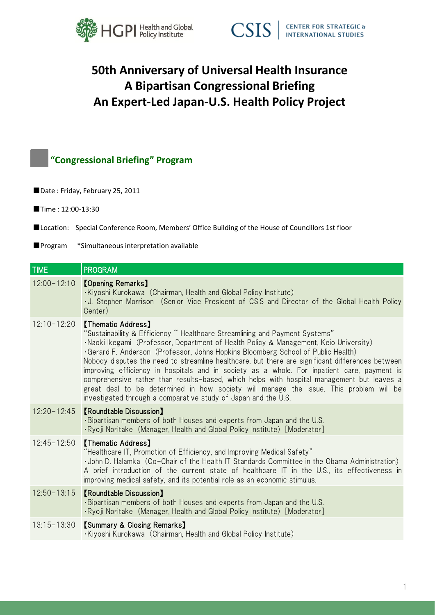



# **50th Anniversary of Universal Health Insurance A Bipartisan Congressional Briefing An Expert-Led Japan-U.S. Health Policy Project**

## **"Congressional Briefing" Program**

- Date: Friday, February 25, 2011
- ■Time: 12:00-13:30
- ■Location: Special Conference Room, Members' Office Building of the House of Councillors 1st floor
- ■Program \*Simultaneous interpretation available

| TIME            | <b>PROGRAM</b>                                                                                                                                                                                                                                                                                                                                                                                                                                                                                                                                                                                                                                                                                                                                    |
|-----------------|---------------------------------------------------------------------------------------------------------------------------------------------------------------------------------------------------------------------------------------------------------------------------------------------------------------------------------------------------------------------------------------------------------------------------------------------------------------------------------------------------------------------------------------------------------------------------------------------------------------------------------------------------------------------------------------------------------------------------------------------------|
| $12:00 - 12:10$ | <b>[Opening Remarks]</b><br>·Kiyoshi Kurokawa (Chairman, Health and Global Policy Institute)<br>U. Stephen Morrison (Senior Vice President of CSIS and Director of the Global Health Policy<br>Center)                                                                                                                                                                                                                                                                                                                                                                                                                                                                                                                                            |
| $12:10 - 12:20$ | <b>【Thematic Address】</b><br>"Sustainability & Efficiency ~ Healthcare Streamlining and Payment Systems"<br>·Naoki Ikegami (Professor, Department of Health Policy & Management, Keio University)<br>Gerard F. Anderson (Professor, Johns Hopkins Bloomberg School of Public Health)<br>Nobody disputes the need to streamline healthcare, but there are significant differences between<br>improving efficiency in hospitals and in society as a whole. For inpatient care, payment is<br>comprehensive rather than results-based, which helps with hospital management but leaves a<br>great deal to be determined in how society will manage the issue. This problem will be<br>investigated through a comparative study of Japan and the U.S. |
| $12:20 - 12:45$ | <b>[Roundtable Discussion]</b><br>. Bipartisan members of both Houses and experts from Japan and the U.S.<br>· Ryoji Noritake (Manager, Health and Global Policy Institute) [Moderator]                                                                                                                                                                                                                                                                                                                                                                                                                                                                                                                                                           |
| $12:45 - 12:50$ | <b>[Thematic Address]</b><br>"Healthcare IT, Promotion of Efficiency, and Improving Medical Safety"<br>· John D. Halamka (Co-Chair of the Health IT Standards Committee in the Obama Administration)<br>A brief introduction of the current state of healthcare IT in the U.S., its effectiveness in<br>improving medical safety, and its potential role as an economic stimulus.                                                                                                                                                                                                                                                                                                                                                                 |
| $12:50 - 13:15$ | <b>[Roundtable Discussion]</b><br>. Bipartisan members of both Houses and experts from Japan and the U.S.<br>· Ryoji Noritake (Manager, Health and Global Policy Institute) [Moderator]                                                                                                                                                                                                                                                                                                                                                                                                                                                                                                                                                           |
| $13:15 - 13:30$ | <b>[Summary &amp; Closing Remarks]</b><br>Kiyoshi Kurokawa (Chairman, Health and Global Policy Institute)                                                                                                                                                                                                                                                                                                                                                                                                                                                                                                                                                                                                                                         |